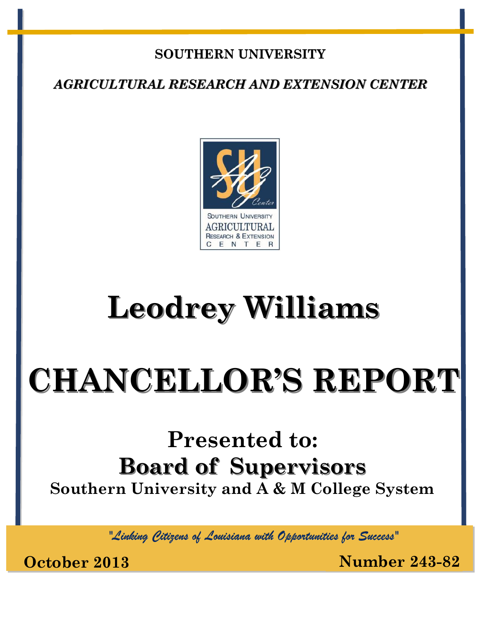#### **SOUTHERN UNIVERSITY**

*AGRICULTURAL RESEARCH AND EXTENSION CENTER*



# **Leodrey Williams**

# **CHANCELLOR'S REPORT**

## **Presented to: Board of Supervisors Southern University and A & M College System**

*"Linking Citizens of Louisiana with Opportunities for Success"*

**October 2013 Number 243-82**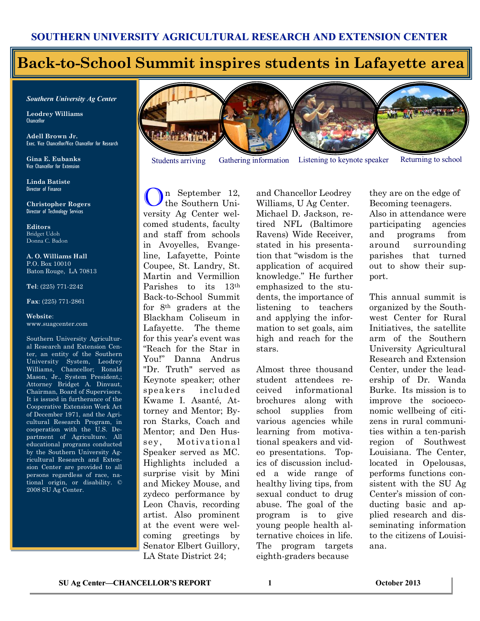#### **Back-to-School Summit inspires students in Lafayette area**

*Southern University Ag Center*

**Leodrey Williams**  Chancellor

**Adell Brown Jr.**  Exec. Vice Chancellor/Vice Chancellor for Research

**Gina E. Eubanks** Vice Chancellor for Extension

**Linda Batiste** Director of Finance

**Christopher Rogers** Director of Technology Services

**Editors** Bridget Udoh Donna C. Badon

**A. O. Williams Hall** P.O. Box 10010 Baton Rouge, LA 70813

**Tel**: (225) 771-2242

**Fax**: (225) 771-2861

**Website**: www.suagcenter.com

Southern University Agricultural Research and Extension Center, an entity of the Southern University System, Leodrey Williams, Chancellor; Ronald Mason, Jr., System President,; Attorney Bridget A. Dinvaut, Chairman, Board of Supervisors. It is issued in furtherance of the Cooperative Extension Work Act of December 1971, and the Agricultural Research Program, in cooperation with the U.S. Department of Agriculture. All educational programs conducted by the Southern University Agricultural Research and Extension Center are provided to all persons regardless of race, national origin, or disability. © 2008 SU Ag Center.



n September 12, the Southern University Ag Center welcomed students, faculty and staff from schools in Avoyelles, Evangeline, Lafayette, Pointe Coupee, St. Landry, St. Martin and Vermillion Parishes to its 13th Back-to-School Summit for 8th graders at the Blackham Coliseum in Lafayette. The theme for this year's event was "Reach for the Star in You!" Danna Andrus "Dr. Truth" served as Keynote speaker; other speakers included Kwame I. Asanté, Attorney and Mentor; Byron Starks, Coach and Mentor; and Den Hussey, Motivational Speaker served as MC. Highlights included a surprise visit by Mini and Mickey Mouse, and zydeco performance by Leon Chavis, recording artist. Also prominent at the event were welcoming greetings by Senator Elbert Guillory, LA State District 24;

and Chancellor Leodrey Williams, U Ag Center. Michael D. Jackson, retired NFL (Baltimore Ravens) Wide Receiver, stated in his presentation that "wisdom is the application of acquired knowledge." He further emphasized to the students, the importance of listening to teachers and applying the information to set goals, aim high and reach for the stars.

Almost three thousand student attendees received informational brochures along with school supplies from various agencies while learning from motivational speakers and video presentations. Topics of discussion included a wide range of healthy living tips, from sexual conduct to drug abuse. The goal of the program is to give young people health alternative choices in life. The program targets eighth-graders because

they are on the edge of Becoming teenagers. Also in attendance were participating agencies and programs from around surrounding parishes that turned out to show their support.

This annual summit is organized by the Southwest Center for Rural Initiatives, the satellite arm of the Southern University Agricultural Research and Extension Center, under the leadership of Dr. Wanda Burke. Its mission is to improve the socioeconomic wellbeing of citizens in rural communities within a ten-parish region of Southwest Louisiana. The Center, located in Opelousas, performs functions consistent with the SU Ag Center's mission of conducting basic and applied research and disseminating information to the citizens of Louisiana.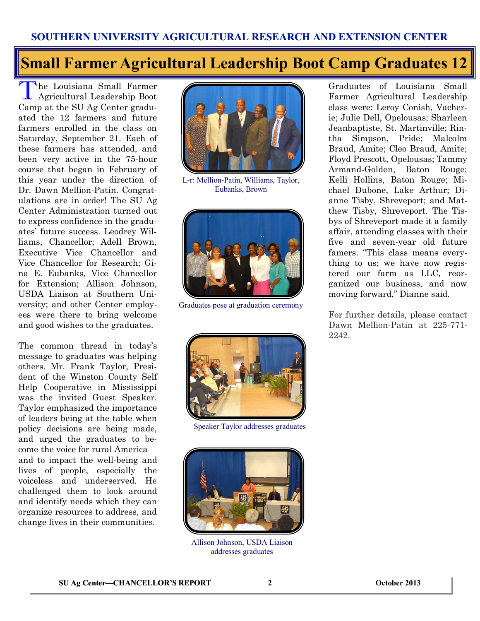### **Small Farmer Agricultural Leadership Boot Camp Graduates 12**

The Louisiana Small Farmer<br>Agricultural Leadership Boot Agricultural Leadership Boot Camp at the SU Ag Center graduated the 12 farmers and future farmers enrolled in the class on Saturday, September 21. Each of these farmers has attended, and been very active in the 75-hour course that began in February of this year under the direction of Dr. Dawn Mellion-Patin. Congratulations are in order! The SU Ag Center Administration turned out to express confidence in the graduates' future success. Leodrey Williams, Chancellor; Adell Brown, Executive Vice Chancellor and Vice Chancellor for Research; Gina E. Eubanks, Vice Chancellor for Extension; Allison Johnson, USDA Liaison at Southern University; and other Center employees were there to bring welcome and good wishes to the graduates.

The common thread in today's message to graduates was helping others. Mr. Frank Taylor, President of the Winston County Self Help Cooperative in Mississippi was the invited Guest Speaker. Taylor emphasized the importance of leaders being at the table when policy decisions are being made, and urged the graduates to become the voice for rural America and to impact the well-being and lives of people, especially the voiceless and underserved. He challenged them to look around and identify needs which they can organize resources to address, and change lives in their communities.



L-r: Mellion-Patin, Williams, Taylor, Eubanks, Brown



Graduates pose at graduation ceremony



Speaker Taylor addresses graduates



Allison Johnson, USDA Liaison addresses graduates

Graduates of Louisiana Small Farmer Agricultural Leadership class were: Leroy Conish, Vacherie; Julie Dell, Opelousas; Sharleen Jeanbaptiste, St. Martinville; Rintha Simpson, Pride; Malcolm Braud, Amite; Cleo Braud, Amite; Floyd Prescott, Opelousas; Tammy Armand-Golden, Baton Rouge; Kelli Hollins, Baton Rouge; Michael Dubone, Lake Arthur; Dianne Tisby, Shreveport; and Matthew Tisby, Shreveport. The Tisbys of Shreveport made it a family affair, attending classes with their five and seven-year old future famers. "This class means everything to us; we have now registered our farm as LLC, reorganized our business, and now moving forward," Dianne said.

For further details, please contact Dawn Mellion-Patin at 225-771- 2242.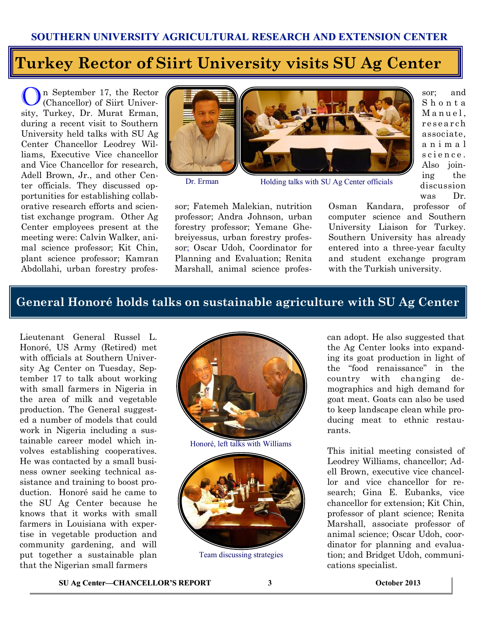### **Turkey Rector of Siirt University visits SU Ag Center**

On September 17, the Rector (Chancellor) of Siirt University, Turkey, Dr. Murat Erman, during a recent visit to Southern University held talks with SU Ag Center Chancellor Leodrey Williams, Executive Vice chancellor and Vice Chancellor for research, Adell Brown, Jr., and other Center officials. They discussed opportunities for establishing collaborative research efforts and scientist exchange program. Other Ag Center employees present at the meeting were: Calvin Walker, animal science professor; Kit Chin, plant science professor; Kamran Abdollahi, urban forestry profes-





Dr. Erman Holding talks with SU Ag Center officials

sor; and S h o n t a Manuel, research associate, a n i m a l science. Also joining the discussion was Dr.

Osman Kandara, professor of computer science and Southern University Liaison for Turkey. Southern University has already entered into a three-year faculty and student exchange program with the Turkish university.

#### **General Honoré holds talks on sustainable agriculture with SU Ag Center**

sor; Fatemeh Malekian, nutrition professor; Andra Johnson, urban forestry professor; Yemane Ghebreiyessus, urban forestry professor; Oscar Udoh, Coordinator for Planning and Evaluation; Renita Marshall, animal science profes-

Lieutenant General Russel L. Honoré, US Army (Retired) met with officials at Southern University Ag Center on Tuesday, September 17 to talk about working with small farmers in Nigeria in the area of milk and vegetable production. The General suggested a number of models that could work in Nigeria including a sustainable career model which involves establishing cooperatives. He was contacted by a small business owner seeking technical assistance and training to boost production. Honoré said he came to the SU Ag Center because he knows that it works with small farmers in Louisiana with expertise in vegetable production and community gardening, and will put together a sustainable plan that the Nigerian small farmers



Honoré, left talks with Williams



Team discussing strategies

can adopt. He also suggested that the Ag Center looks into expanding its goat production in light of the "food renaissance" in the country with changing demographics and high demand for goat meat. Goats can also be used to keep landscape clean while producing meat to ethnic restaurants.

This initial meeting consisted of Leodrey Williams, chancellor; Adell Brown, executive vice chancellor and vice chancellor for research; Gina E. Eubanks, vice chancellor for extension; Kit Chin, professor of plant science; Renita Marshall, associate professor of animal science; Oscar Udoh, coordinator for planning and evaluation; and Bridget Udoh, communications specialist.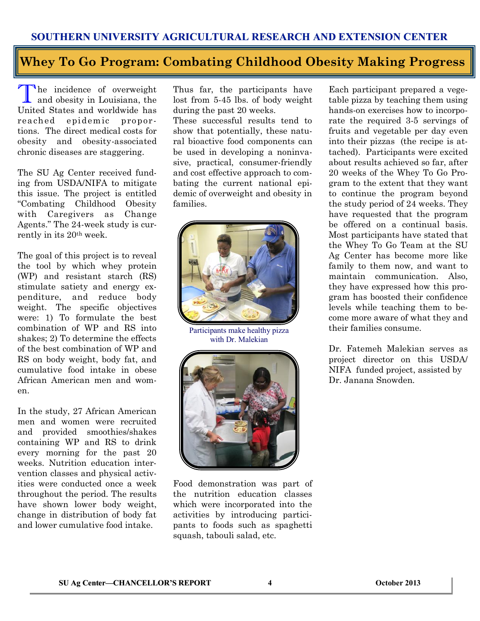#### **Whey To Go Program: Combating Childhood Obesity Making Progress**

The incidence of overweight<br>and obesity in Louisiana, the and obesity in Louisiana, the United States and worldwide has rea ched epidemic proportions. The direct medical costs for obesity and obesity-associated chronic diseases are staggering.

The SU Ag Center received funding from USDA/NIFA to mitigate this issue. The project is entitled "Combating Childhood Obesity with Caregivers as Change Agents." The 24-week study is currently in its 20th week.

The goal of this project is to reveal the tool by which whey protein (WP) and resistant starch (RS) stimulate satiety and energy expenditure, and reduce body weight. The specific objectives were: 1) To formulate the best combination of WP and RS into shakes; 2) To determine the effects of the best combination of WP and RS on body weight, body fat, and cumulative food intake in obese African American men and women.

In the study, 27 African American men and women were recruited and provided smoothies/shakes containing WP and RS to drink every morning for the past 20 weeks. Nutrition education intervention classes and physical activities were conducted once a week throughout the period. The results have shown lower body weight, change in distribution of body fat and lower cumulative food intake.

Thus far, the participants have lost from 5-45 lbs. of body weight during the past 20 weeks.

These successful results tend to show that potentially, these natural bioactive food components can be used in developing a noninvasive, practical, consumer-friendly and cost effective approach to combating the current national epidemic of overweight and obesity in families.



Participants make healthy pizza with Dr. Malekian



Food demonstration was part of the nutrition education classes which were incorporated into the activities by introducing participants to foods such as spaghetti squash, tabouli salad, etc.

Each participant prepared a vegetable pizza by teaching them using hands-on exercises how to incorporate the required 3-5 servings of fruits and vegetable per day even into their pizzas (the recipe is attached). Participants were excited about results achieved so far, after 20 weeks of the Whey To Go Program to the extent that they want to continue the program beyond the study period of 24 weeks. They have requested that the program be offered on a continual basis. Most participants have stated that the Whey To Go Team at the SU Ag Center has become more like family to them now, and want to maintain communication. Also, they have expressed how this program has boosted their confidence levels while teaching them to become more aware of what they and their families consume.

Dr. Fatemeh Malekian serves as project director on this USDA/ NIFA funded project, assisted by Dr. Janana Snowden.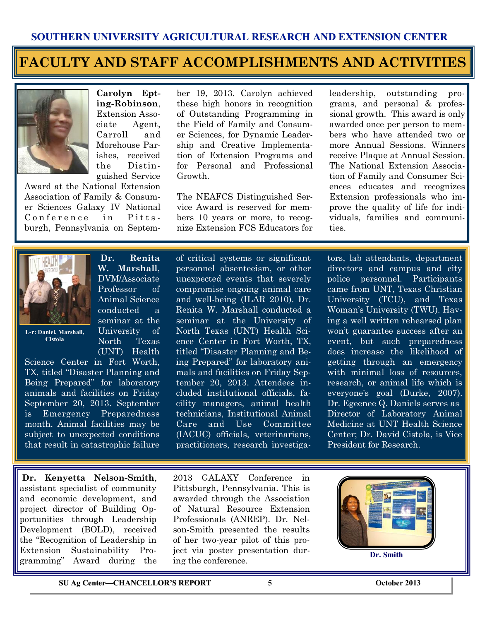#### **FACULTY AND STAFF ACCOMPLISHMENTS AND ACTIVITIES**



**Carolyn Epting-Robinson**, Extension Associate Agent, Carroll and Morehouse Parishes, received the Distinguished Service

Award at the National Extension Association of Family & Consumer Sciences Galaxy IV National Conference in Pittsburgh, Pennsylvania on September 19, 2013. Carolyn achieved these high honors in recognition of Outstanding Programming in the Field of Family and Consumer Sciences, for Dynamic Leadership and Creative Implementation of Extension Programs and for Personal and Professional Growth.

The NEAFCS Distinguished Service Award is reserved for members 10 years or more, to recognize Extension FCS Educators for

leadership, outstanding programs, and personal & professional growth. This award is only awarded once per person to members who have attended two or more Annual Sessions. Winners receive Plaque at Annual Session. The National Extension Association of Family and Consumer Sciences educates and recognizes Extension professionals who improve the quality of life for individuals, families and communities.



**L-r: Daniel, Marshall, Cistola**

Science Center in Fort Worth, TX, titled "Disaster Planning and Being Prepared" for laboratory animals and facilities on Friday September 20, 2013. September is Emergency Preparedness month. Animal facilities may be subject to unexpected conditions that result in catastrophic failure

**Dr. Kenyetta Nelson-Smith**, assistant specialist of community and economic development, and project director of Building Opportunities through Leadership Development (BOLD), received the "Recognition of Leadership in Extension Sustainability Programming" Award during the

**Dr. Renita W. Marshall**, DVM/Associate Professor of Animal Science conducted a seminar at the University of North Texas (UNT) Health

of critical systems or significant personnel absenteeism, or other unexpected events that severely compromise ongoing animal care and well-being (ILAR 2010). Dr. Renita W. Marshall conducted a seminar at the University of North Texas (UNT) Health Science Center in Fort Worth, TX, titled "Disaster Planning and Being Prepared" for laboratory animals and facilities on Friday September 20, 2013. Attendees included institutional officials, facility managers, animal health technicians, Institutional Animal Care and Use Committee (IACUC) officials, veterinarians, practitioners, research investigators, lab attendants, department directors and campus and city police personnel. Participants came from UNT, Texas Christian University (TCU), and Texas Woman's University (TWU). Having a well written rehearsed plan won't guarantee success after an event, but such preparedness does increase the likelihood of getting through an emergency with minimal loss of resources. research, or animal life which is everyone's goal (Durke, 2007). Dr. Egeenee Q. Daniels serves as Director of Laboratory Animal Medicine at UNT Health Science Center; Dr. David Cistola, is Vice President for Research.

2013 GALAXY Conference in Pittsburgh, Pennsylvania. This is awarded through the Association of Natural Resource Extension Professionals (ANREP). Dr. Nelson-Smith presented the results of her two-year pilot of this project via poster presentation during the conference.



**Dr. Smith**